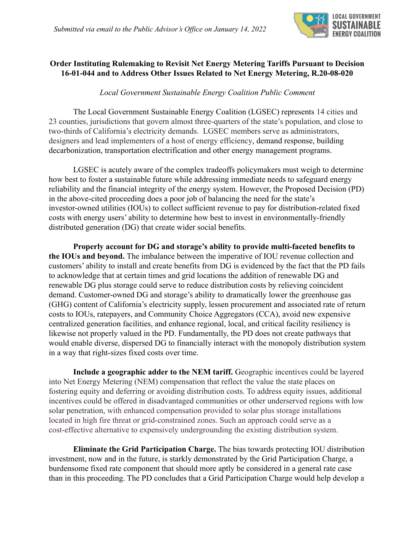

## **Order Instituting Rulemaking to Revisit Net Energy Metering Tariffs Pursuant to Decision 16-01-044 and to Address Other Issues Related to Net Energy Metering, R.20-08-020**

*Local Government Sustainable Energy Coalition Public Comment*

The Local Government Sustainable Energy Coalition (LGSEC) represents 14 cities and 23 counties, jurisdictions that govern almost three-quarters of the state's population, and close to two-thirds of California's electricity demands. LGSEC members serve as administrators, designers and lead implementers of a host of energy efficiency, demand response, building decarbonization, transportation electrification and other energy management programs.

LGSEC is acutely aware of the complex tradeoffs policymakers must weigh to determine how best to foster a sustainable future while addressing immediate needs to safeguard energy reliability and the financial integrity of the energy system. However, the Proposed Decision (PD) in the above-cited proceeding does a poor job of balancing the need for the state's investor-owned utilities (IOUs) to collect sufficient revenue to pay for distribution-related fixed costs with energy users' ability to determine how best to invest in environmentally-friendly distributed generation (DG) that create wider social benefits.

**Properly account for DG and storage's ability to provide multi-faceted benefits to the IOUs and beyond.** The imbalance between the imperative of IOU revenue collection and customers' ability to install and create benefits from DG is evidenced by the fact that the PD fails to acknowledge that at certain times and grid locations the addition of renewable DG and renewable DG plus storage could serve to reduce distribution costs by relieving coincident demand. Customer-owned DG and storage's ability to dramatically lower the greenhouse gas (GHG) content of California's electricity supply, lessen procurement and associated rate of return costs to IOUs, ratepayers, and Community Choice Aggregators (CCA), avoid new expensive centralized generation facilities, and enhance regional, local, and critical facility resiliency is likewise not properly valued in the PD. Fundamentally, the PD does not create pathways that would enable diverse, dispersed DG to financially interact with the monopoly distribution system in a way that right-sizes fixed costs over time.

**Include a geographic adder to the NEM tariff.** Geographic incentives could be layered into Net Energy Metering (NEM) compensation that reflect the value the state places on fostering equity and deferring or avoiding distribution costs. To address equity issues, additional incentives could be offered in disadvantaged communities or other underserved regions with low solar penetration, with enhanced compensation provided to solar plus storage installations located in high fire threat or grid-constrained zones. Such an approach could serve as a cost-effective alternative to expensively undergrounding the existing distribution system.

**Eliminate the Grid Participation Charge.** The bias towards protecting IOU distribution investment, now and in the future, is starkly demonstrated by the Grid Participation Charge, a burdensome fixed rate component that should more aptly be considered in a general rate case than in this proceeding. The PD concludes that a Grid Participation Charge would help develop a